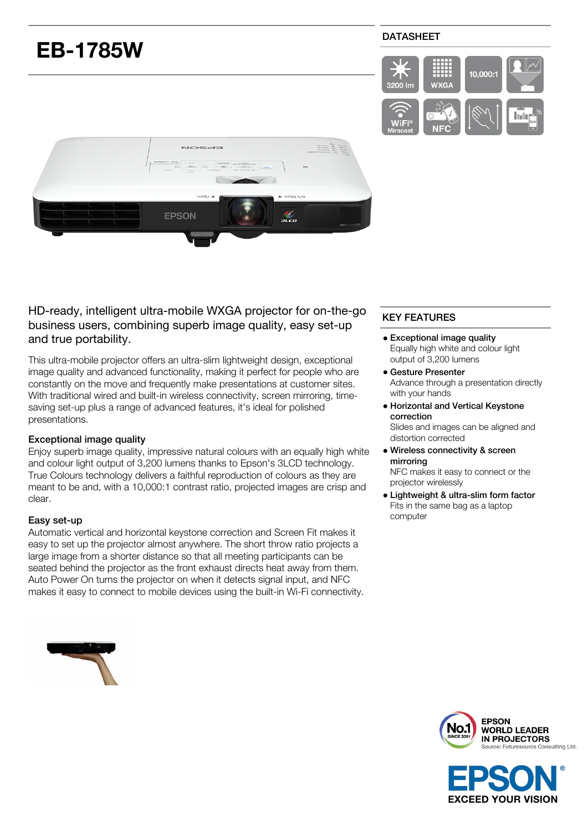# **EB-1785W**

## DATASHEET





HD-ready, intelligent ultra-mobile WXGA projector for on-the-go business users, combining superb image quality, easy set-up and true portability.

This ultra-mobile projector offers an ultra-slim lightweight design, exceptional image quality and advanced functionality, making it perfect for people who are constantly on the move and frequently make presentations at customer sites. With traditional wired and built-in wireless connectivity, screen mirroring, timesaving set-up plus a range of advanced features, it's ideal for polished presentations.

## Exceptional image quality

Enjoy superb image quality, impressive natural colours with an equally high white and colour light output of 3,200 lumens thanks to Epson's 3LCD technology. True Colours technology delivers a faithful reproduction of colours as they are meant to be and, with a 10,000:1 contrast ratio, projected images are crisp and clear.

#### Easy set-up

Automatic vertical and horizontal keystone correction and Screen Fit makes it easy to set up the projector almost anywhere. The short throw ratio projects a large image from a shorter distance so that all meeting participants can be seated behind the projector as the front exhaust directs heat away from them. Auto Power On turns the projector on when it detects signal input, and NFC makes it easy to connect to mobile devices using the built-in Wi-Fi connectivity.

# KEY FEATURES

- Exceptional image quality Equally high white and colour light output of 3,200 lumens
- Gesture Presenter Advance through a presentation directly with your hands
- Horizontal and Vertical Keystone correction

Slides and images can be aligned and distortion corrected

Wireless connectivity & screen mirroring

NFC makes it easy to connect or the projector wirelessly

Lightweight & ultra-slim form factor Fits in the same bag as a laptop computer





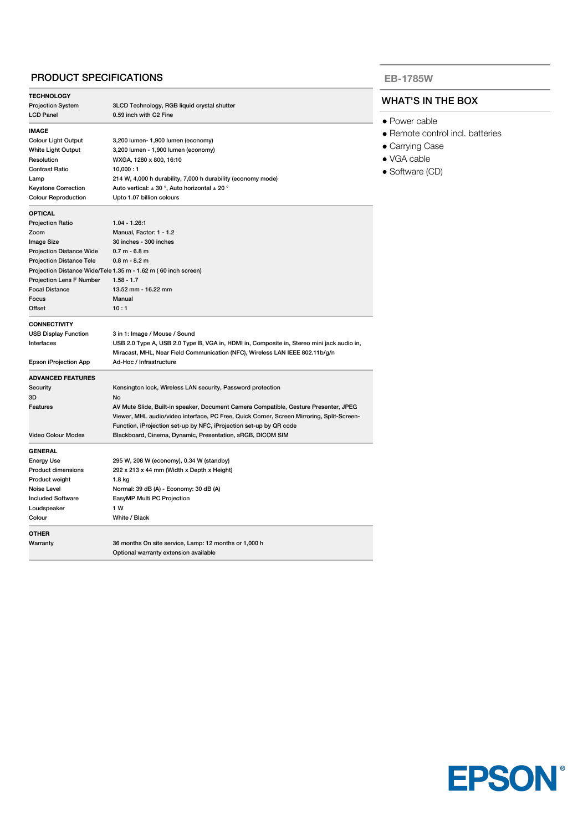## PRODUCT SPECIFICATIONS

| <b>TECHNOLOGY</b>               |                                                                                           |
|---------------------------------|-------------------------------------------------------------------------------------------|
| <b>Projection System</b>        | 3LCD Technology, RGB liquid crystal shutter                                               |
| <b>LCD Panel</b>                | 0.59 inch with C2 Fine                                                                    |
| <b>IMAGE</b>                    |                                                                                           |
| Colour Light Output             | 3,200 lumen- 1,900 lumen (economy)                                                        |
| White Light Output              | 3,200 lumen - 1,900 lumen (economy)                                                       |
| Resolution                      | WXGA, 1280 x 800, 16:10                                                                   |
| <b>Contrast Ratio</b>           | 10,000:1                                                                                  |
| Lamp                            | 214 W, 4,000 h durability, 7,000 h durability (economy mode)                              |
| <b>Keystone Correction</b>      | Auto vertical: $\pm$ 30 °, Auto horizontal $\pm$ 20 °                                     |
| <b>Colour Reproduction</b>      | Upto 1.07 billion colours                                                                 |
| <b>OPTICAL</b>                  |                                                                                           |
| <b>Projection Ratio</b>         | $1.04 - 1.26:1$                                                                           |
| Zoom                            | Manual, Factor: 1 - 1.2                                                                   |
| Image Size                      | 30 inches - 300 inches                                                                    |
| <b>Projection Distance Wide</b> | $0.7 m - 6.8 m$                                                                           |
| <b>Projection Distance Tele</b> | $0.8 m - 8.2 m$                                                                           |
|                                 | Projection Distance Wide/Tele 1.35 m - 1.62 m (60 inch screen)                            |
| Projection Lens F Number        | $1.58 - 1.7$                                                                              |
| <b>Focal Distance</b>           | 13.52 mm - 16.22 mm                                                                       |
| Focus                           | Manual                                                                                    |
| Offset                          | 10:1                                                                                      |
| <b>CONNECTIVITY</b>             |                                                                                           |
| <b>USB Display Function</b>     | 3 in 1: Image / Mouse / Sound                                                             |
| Interfaces                      | USB 2.0 Type A, USB 2.0 Type B, VGA in, HDMI in, Composite in, Stereo mini jack audio in, |
|                                 | Miracast, MHL, Near Field Communication (NFC), Wireless LAN IEEE 802.11b/g/n              |
| Epson iProjection App           | Ad-Hoc / Infrastructure                                                                   |
|                                 |                                                                                           |
| <b>ADVANCED FEATURES</b>        |                                                                                           |
| Security                        | Kensington lock, Wireless LAN security, Password protection                               |
| 3D                              | No                                                                                        |
| Features                        | AV Mute Slide, Built-in speaker, Document Camera Compatible, Gesture Presenter, JPEG      |
|                                 | Viewer, MHL audio/video interface, PC Free, Quick Corner, Screen Mirroring, Split-Screen- |
|                                 | Function, iProjection set-up by NFC, iProjection set-up by QR code                        |
| <b>Video Colour Modes</b>       | Blackboard, Cinema, Dynamic, Presentation, sRGB, DICOM SIM                                |
| <b>GENERAL</b>                  |                                                                                           |
| <b>Energy Use</b>               | 295 W, 208 W (economy), 0.34 W (standby)                                                  |
| <b>Product dimensions</b>       | 292 x 213 x 44 mm (Width x Depth x Height)                                                |
| Product weight                  | 1.8 kg                                                                                    |
| Noise Level                     | Normal: 39 dB (A) - Economy: 30 dB (A)                                                    |
| <b>Included Software</b>        | EasyMP Multi PC Projection                                                                |
| Loudspeaker                     | 1 W                                                                                       |
| Colour                          | White / Black                                                                             |
| <b>OTHER</b>                    |                                                                                           |
| Warranty                        | 36 months On site service, Lamp: 12 months or 1,000 h                                     |
|                                 | Optional warranty extension available                                                     |

#### **EB-1785W**

### WHAT'S IN THE BOX

- Power cable
- Remote control incl. batteries
- Carrying Case
- VGA cable
- Software (CD)